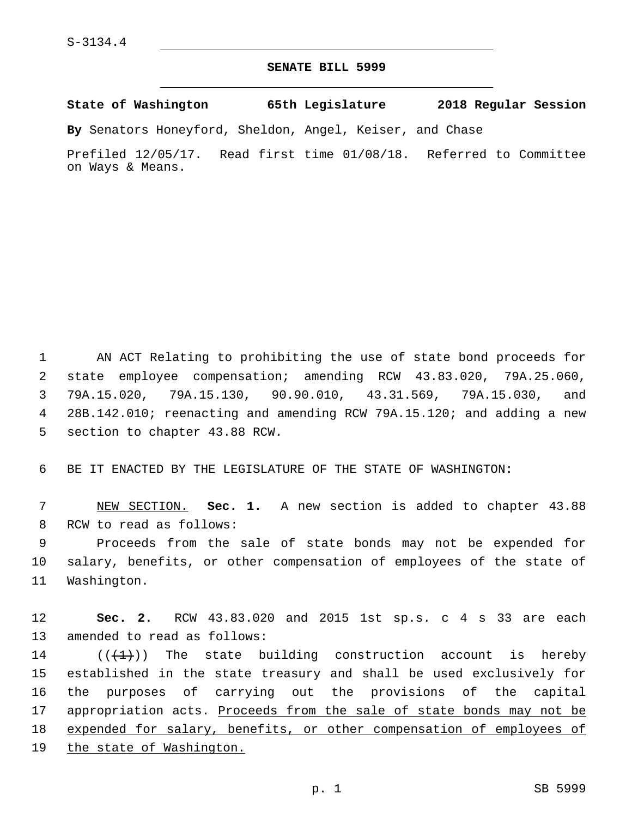## **SENATE BILL 5999**

**State of Washington 65th Legislature 2018 Regular Session**

**By** Senators Honeyford, Sheldon, Angel, Keiser, and Chase

Prefiled 12/05/17. Read first time 01/08/18. Referred to Committee on Ways & Means.

 AN ACT Relating to prohibiting the use of state bond proceeds for state employee compensation; amending RCW 43.83.020, 79A.25.060, 79A.15.020, 79A.15.130, 90.90.010, 43.31.569, 79A.15.030, and 28B.142.010; reenacting and amending RCW 79A.15.120; and adding a new 5 section to chapter 43.88 RCW.

6 BE IT ENACTED BY THE LEGISLATURE OF THE STATE OF WASHINGTON:

7 NEW SECTION. **Sec. 1.** A new section is added to chapter 43.88 8 RCW to read as follows:

9 Proceeds from the sale of state bonds may not be expended for 10 salary, benefits, or other compensation of employees of the state of 11 Washington.

12 **Sec. 2.** RCW 43.83.020 and 2015 1st sp.s. c 4 s 33 are each 13 amended to read as follows:

 $((+1))$  The state building construction account is hereby established in the state treasury and shall be used exclusively for the purposes of carrying out the provisions of the capital 17 appropriation acts. Proceeds from the sale of state bonds may not be expended for salary, benefits, or other compensation of employees of the state of Washington.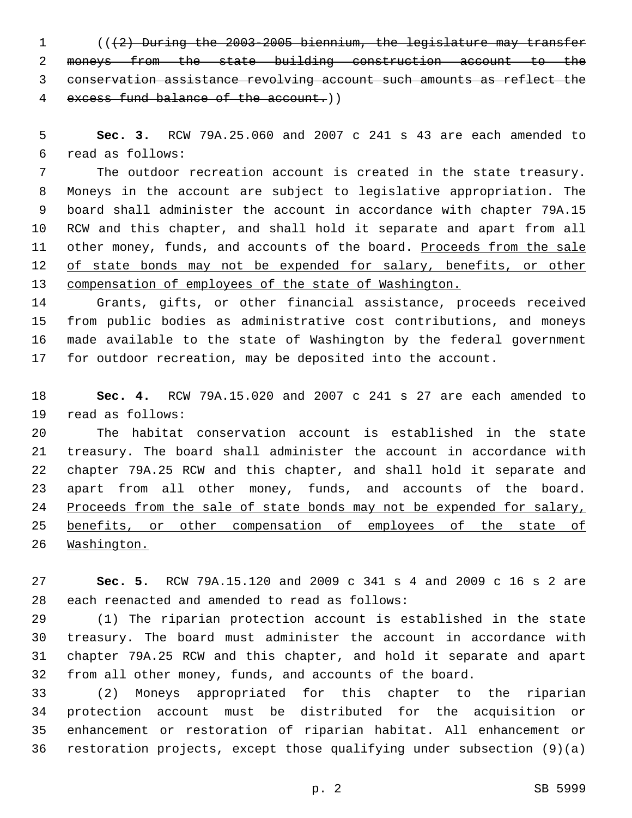(((2) During the 2003-2005 biennium, the legislature may transfer moneys from the state building construction account to the conservation assistance revolving account such amounts as reflect the excess fund balance of the account.))

 **Sec. 3.** RCW 79A.25.060 and 2007 c 241 s 43 are each amended to read as follows:6

 The outdoor recreation account is created in the state treasury. Moneys in the account are subject to legislative appropriation. The board shall administer the account in accordance with chapter 79A.15 RCW and this chapter, and shall hold it separate and apart from all 11 other money, funds, and accounts of the board. Proceeds from the sale 12 of state bonds may not be expended for salary, benefits, or other compensation of employees of the state of Washington.

 Grants, gifts, or other financial assistance, proceeds received from public bodies as administrative cost contributions, and moneys made available to the state of Washington by the federal government for outdoor recreation, may be deposited into the account.

 **Sec. 4.** RCW 79A.15.020 and 2007 c 241 s 27 are each amended to 19 read as follows:

 The habitat conservation account is established in the state treasury. The board shall administer the account in accordance with chapter 79A.25 RCW and this chapter, and shall hold it separate and apart from all other money, funds, and accounts of the board. 24 Proceeds from the sale of state bonds may not be expended for salary, benefits, or other compensation of employees of the state of Washington.

 **Sec. 5.** RCW 79A.15.120 and 2009 c 341 s 4 and 2009 c 16 s 2 are 28 each reenacted and amended to read as follows:

 (1) The riparian protection account is established in the state treasury. The board must administer the account in accordance with chapter 79A.25 RCW and this chapter, and hold it separate and apart from all other money, funds, and accounts of the board.

 (2) Moneys appropriated for this chapter to the riparian protection account must be distributed for the acquisition or enhancement or restoration of riparian habitat. All enhancement or restoration projects, except those qualifying under subsection (9)(a)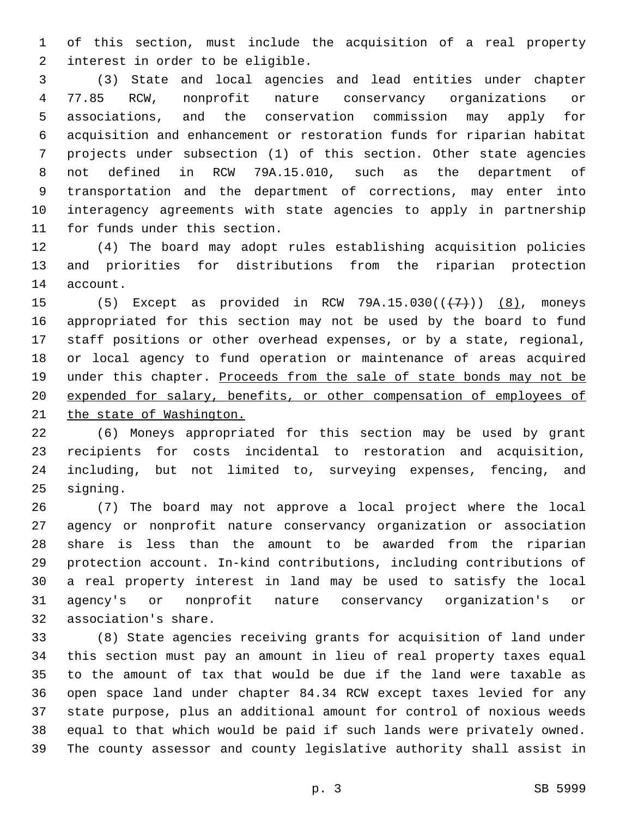of this section, must include the acquisition of a real property 2 interest in order to be eligible.

 (3) State and local agencies and lead entities under chapter 77.85 RCW, nonprofit nature conservancy organizations or associations, and the conservation commission may apply for acquisition and enhancement or restoration funds for riparian habitat projects under subsection (1) of this section. Other state agencies not defined in RCW 79A.15.010, such as the department of transportation and the department of corrections, may enter into interagency agreements with state agencies to apply in partnership 11 for funds under this section.

 (4) The board may adopt rules establishing acquisition policies and priorities for distributions from the riparian protection 14 account.

15 (5) Except as provided in RCW  $79A.15.030((\leftarrow 7))$   $(8)$ , moneys appropriated for this section may not be used by the board to fund staff positions or other overhead expenses, or by a state, regional, or local agency to fund operation or maintenance of areas acquired 19 under this chapter. Proceeds from the sale of state bonds may not be expended for salary, benefits, or other compensation of employees of 21 the state of Washington.

 (6) Moneys appropriated for this section may be used by grant recipients for costs incidental to restoration and acquisition, including, but not limited to, surveying expenses, fencing, and 25 signing.

 (7) The board may not approve a local project where the local agency or nonprofit nature conservancy organization or association share is less than the amount to be awarded from the riparian protection account. In-kind contributions, including contributions of a real property interest in land may be used to satisfy the local agency's or nonprofit nature conservancy organization's or 32 association's share.

 (8) State agencies receiving grants for acquisition of land under this section must pay an amount in lieu of real property taxes equal to the amount of tax that would be due if the land were taxable as open space land under chapter 84.34 RCW except taxes levied for any state purpose, plus an additional amount for control of noxious weeds equal to that which would be paid if such lands were privately owned. The county assessor and county legislative authority shall assist in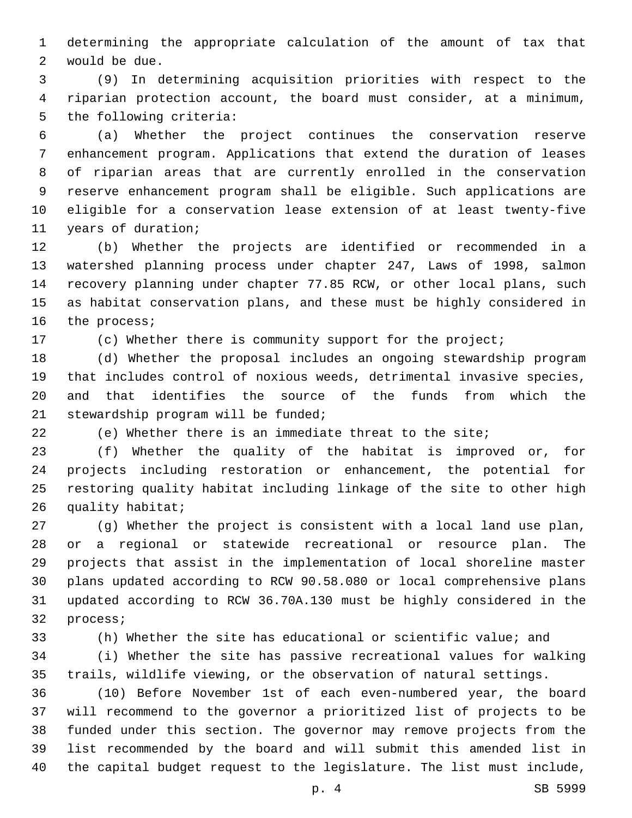determining the appropriate calculation of the amount of tax that 2 would be due.

 (9) In determining acquisition priorities with respect to the riparian protection account, the board must consider, at a minimum, 5 the following criteria:

 (a) Whether the project continues the conservation reserve enhancement program. Applications that extend the duration of leases of riparian areas that are currently enrolled in the conservation reserve enhancement program shall be eligible. Such applications are eligible for a conservation lease extension of at least twenty-five 11 years of duration;

 (b) Whether the projects are identified or recommended in a watershed planning process under chapter 247, Laws of 1998, salmon recovery planning under chapter 77.85 RCW, or other local plans, such as habitat conservation plans, and these must be highly considered in 16 the process;

(c) Whether there is community support for the project;

 (d) Whether the proposal includes an ongoing stewardship program that includes control of noxious weeds, detrimental invasive species, and that identifies the source of the funds from which the 21 stewardship program will be funded;

(e) Whether there is an immediate threat to the site;

 (f) Whether the quality of the habitat is improved or, for projects including restoration or enhancement, the potential for restoring quality habitat including linkage of the site to other high 26 quality habitat;

 (g) Whether the project is consistent with a local land use plan, or a regional or statewide recreational or resource plan. The projects that assist in the implementation of local shoreline master plans updated according to RCW 90.58.080 or local comprehensive plans updated according to RCW 36.70A.130 must be highly considered in the 32 process;

 (h) Whether the site has educational or scientific value; and (i) Whether the site has passive recreational values for walking trails, wildlife viewing, or the observation of natural settings.

 (10) Before November 1st of each even-numbered year, the board will recommend to the governor a prioritized list of projects to be funded under this section. The governor may remove projects from the list recommended by the board and will submit this amended list in the capital budget request to the legislature. The list must include,

p. 4 SB 5999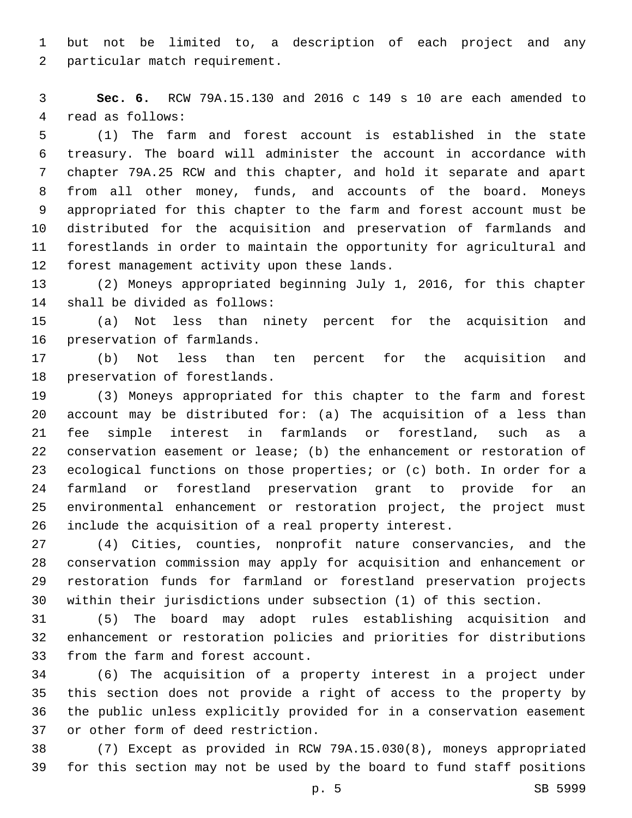but not be limited to, a description of each project and any 2 particular match requirement.

 **Sec. 6.** RCW 79A.15.130 and 2016 c 149 s 10 are each amended to 4 read as follows:

 (1) The farm and forest account is established in the state treasury. The board will administer the account in accordance with chapter 79A.25 RCW and this chapter, and hold it separate and apart from all other money, funds, and accounts of the board. Moneys appropriated for this chapter to the farm and forest account must be distributed for the acquisition and preservation of farmlands and forestlands in order to maintain the opportunity for agricultural and 12 forest management activity upon these lands.

 (2) Moneys appropriated beginning July 1, 2016, for this chapter 14 shall be divided as follows:

 (a) Not less than ninety percent for the acquisition and 16 preservation of farmlands.

 (b) Not less than ten percent for the acquisition and 18 preservation of forestlands.

 (3) Moneys appropriated for this chapter to the farm and forest account may be distributed for: (a) The acquisition of a less than fee simple interest in farmlands or forestland, such as a conservation easement or lease; (b) the enhancement or restoration of ecological functions on those properties; or (c) both. In order for a farmland or forestland preservation grant to provide for an environmental enhancement or restoration project, the project must include the acquisition of a real property interest.

 (4) Cities, counties, nonprofit nature conservancies, and the conservation commission may apply for acquisition and enhancement or restoration funds for farmland or forestland preservation projects within their jurisdictions under subsection (1) of this section.

 (5) The board may adopt rules establishing acquisition and enhancement or restoration policies and priorities for distributions 33 from the farm and forest account.

 (6) The acquisition of a property interest in a project under this section does not provide a right of access to the property by the public unless explicitly provided for in a conservation easement 37 or other form of deed restriction.

 (7) Except as provided in RCW 79A.15.030(8), moneys appropriated for this section may not be used by the board to fund staff positions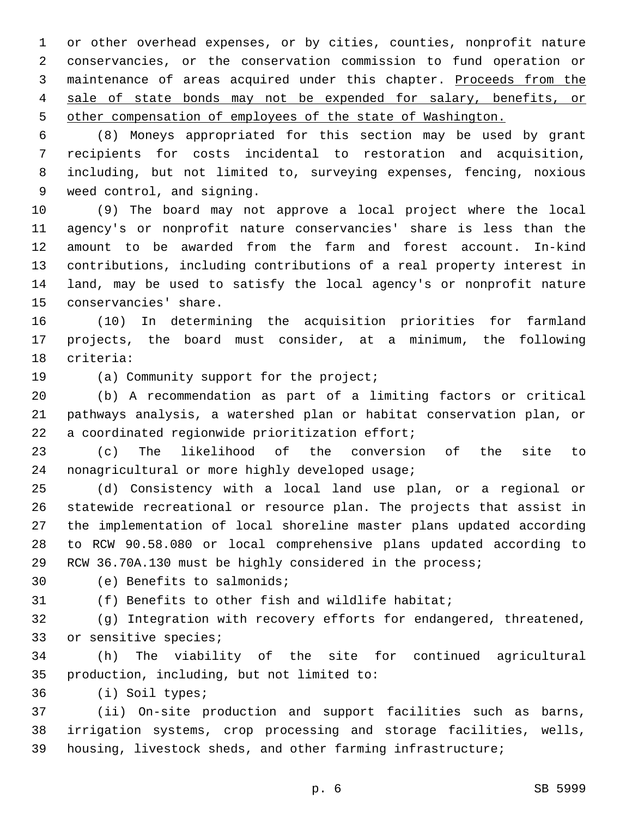or other overhead expenses, or by cities, counties, nonprofit nature conservancies, or the conservation commission to fund operation or 3 maintenance of areas acquired under this chapter. Proceeds from the sale of state bonds may not be expended for salary, benefits, or other compensation of employees of the state of Washington.

 (8) Moneys appropriated for this section may be used by grant recipients for costs incidental to restoration and acquisition, including, but not limited to, surveying expenses, fencing, noxious 9 weed control, and signing.

 (9) The board may not approve a local project where the local agency's or nonprofit nature conservancies' share is less than the amount to be awarded from the farm and forest account. In-kind contributions, including contributions of a real property interest in land, may be used to satisfy the local agency's or nonprofit nature 15 conservancies' share.

 (10) In determining the acquisition priorities for farmland projects, the board must consider, at a minimum, the following 18 criteria:

19 (a) Community support for the project;

 (b) A recommendation as part of a limiting factors or critical pathways analysis, a watershed plan or habitat conservation plan, or 22 a coordinated regionwide prioritization effort;

 (c) The likelihood of the conversion of the site to 24 nonagricultural or more highly developed usage;

 (d) Consistency with a local land use plan, or a regional or statewide recreational or resource plan. The projects that assist in the implementation of local shoreline master plans updated according to RCW 90.58.080 or local comprehensive plans updated according to RCW 36.70A.130 must be highly considered in the process;

30 (e) Benefits to salmonids;

(f) Benefits to other fish and wildlife habitat;

 (g) Integration with recovery efforts for endangered, threatened, 33 or sensitive species;

 (h) The viability of the site for continued agricultural 35 production, including, but not limited to:

36 (i) Soil types;

 (ii) On-site production and support facilities such as barns, irrigation systems, crop processing and storage facilities, wells, housing, livestock sheds, and other farming infrastructure;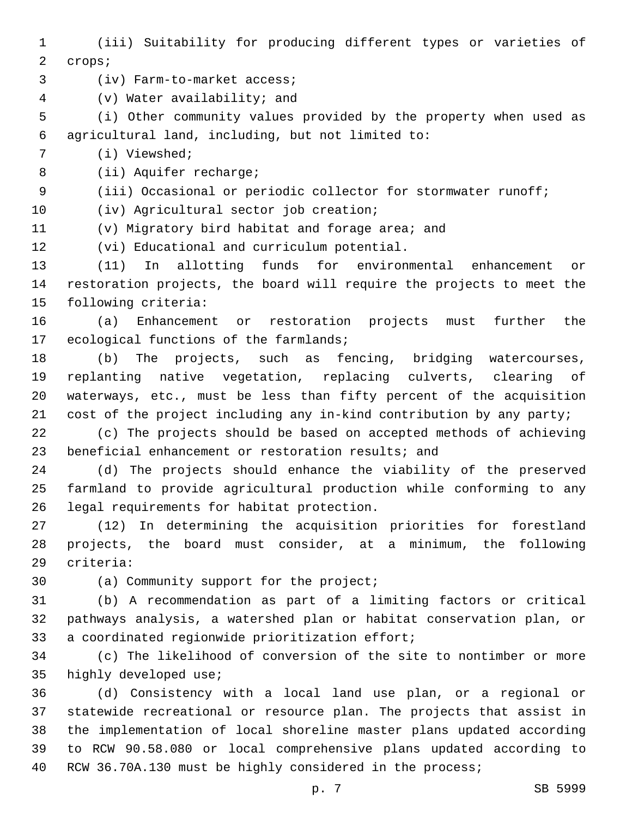(iii) Suitability for producing different types or varieties of 2 crops; 3 (iv) Farm-to-market access; (v) Water availability; and4 (i) Other community values provided by the property when used as agricultural land, including, but not limited to:6 7 (i) Viewshed; 8 (ii) Aquifer recharge; (iii) Occasional or periodic collector for stormwater runoff; 10 (iv) Agricultural sector job creation; (v) Migratory bird habitat and forage area; and 12 (vi) Educational and curriculum potential. (11) In allotting funds for environmental enhancement or restoration projects, the board will require the projects to meet the 15 following criteria: (a) Enhancement or restoration projects must further the 17 ecological functions of the farmlands; (b) The projects, such as fencing, bridging watercourses, replanting native vegetation, replacing culverts, clearing of waterways, etc., must be less than fifty percent of the acquisition cost of the project including any in-kind contribution by any party; (c) The projects should be based on accepted methods of achieving beneficial enhancement or restoration results; and (d) The projects should enhance the viability of the preserved farmland to provide agricultural production while conforming to any 26 legal requirements for habitat protection. (12) In determining the acquisition priorities for forestland projects, the board must consider, at a minimum, the following 29 criteria: 30 (a) Community support for the project; (b) A recommendation as part of a limiting factors or critical pathways analysis, a watershed plan or habitat conservation plan, or 33 a coordinated regionwide prioritization effort; (c) The likelihood of conversion of the site to nontimber or more 35 highly developed use; (d) Consistency with a local land use plan, or a regional or statewide recreational or resource plan. The projects that assist in the implementation of local shoreline master plans updated according to RCW 90.58.080 or local comprehensive plans updated according to

RCW 36.70A.130 must be highly considered in the process;

p. 7 SB 5999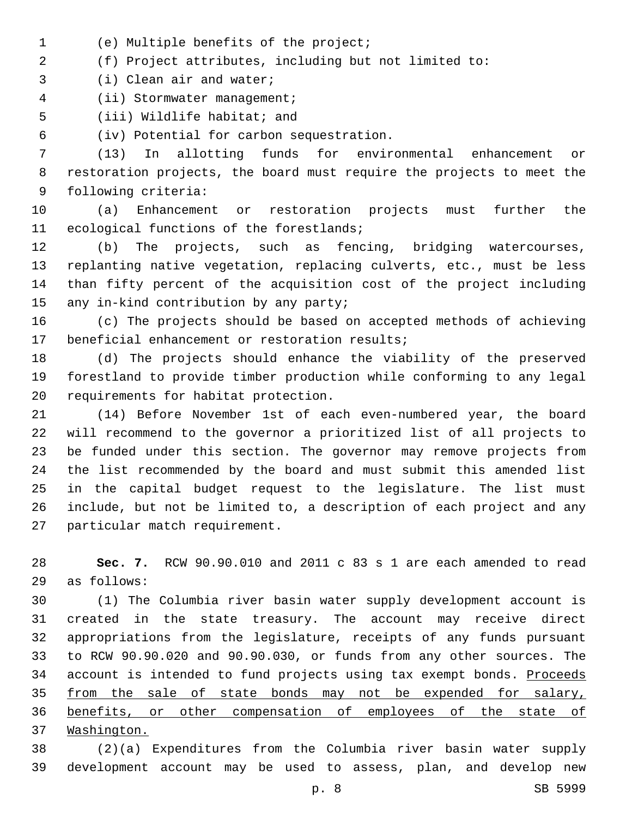- (e) Multiple benefits of the project;1
- (f) Project attributes, including but not limited to:
- 3 (i) Clean air and water;
- 4 (ii) Stormwater management;
- 5 (iii) Wildlife habitat; and

(iv) Potential for carbon sequestration.6

 (13) In allotting funds for environmental enhancement or restoration projects, the board must require the projects to meet the 9 following criteria:

 (a) Enhancement or restoration projects must further the 11 ecological functions of the forestlands;

 (b) The projects, such as fencing, bridging watercourses, replanting native vegetation, replacing culverts, etc., must be less than fifty percent of the acquisition cost of the project including 15 any in-kind contribution by any party;

 (c) The projects should be based on accepted methods of achieving 17 beneficial enhancement or restoration results;

 (d) The projects should enhance the viability of the preserved forestland to provide timber production while conforming to any legal 20 requirements for habitat protection.

 (14) Before November 1st of each even-numbered year, the board will recommend to the governor a prioritized list of all projects to be funded under this section. The governor may remove projects from the list recommended by the board and must submit this amended list in the capital budget request to the legislature. The list must include, but not be limited to, a description of each project and any 27 particular match requirement.

 **Sec. 7.** RCW 90.90.010 and 2011 c 83 s 1 are each amended to read as follows:29

 (1) The Columbia river basin water supply development account is created in the state treasury. The account may receive direct appropriations from the legislature, receipts of any funds pursuant to RCW 90.90.020 and 90.90.030, or funds from any other sources. The 34 account is intended to fund projects using tax exempt bonds. Proceeds 35 from the sale of state bonds may not be expended for salary, benefits, or other compensation of employees of the state of Washington.

 (2)(a) Expenditures from the Columbia river basin water supply development account may be used to assess, plan, and develop new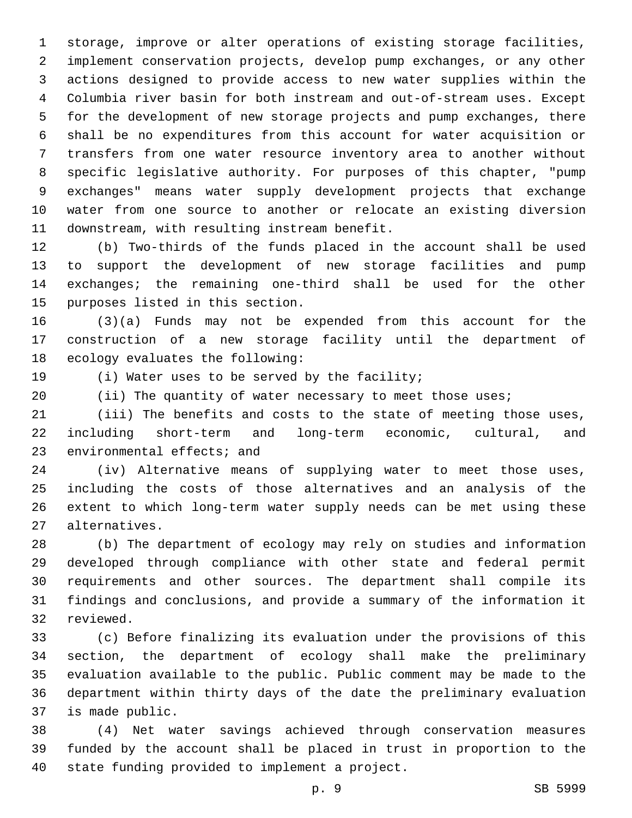storage, improve or alter operations of existing storage facilities, implement conservation projects, develop pump exchanges, or any other actions designed to provide access to new water supplies within the Columbia river basin for both instream and out-of-stream uses. Except for the development of new storage projects and pump exchanges, there shall be no expenditures from this account for water acquisition or transfers from one water resource inventory area to another without specific legislative authority. For purposes of this chapter, "pump exchanges" means water supply development projects that exchange water from one source to another or relocate an existing diversion 11 downstream, with resulting instream benefit.

 (b) Two-thirds of the funds placed in the account shall be used to support the development of new storage facilities and pump exchanges; the remaining one-third shall be used for the other 15 purposes listed in this section.

 (3)(a) Funds may not be expended from this account for the construction of a new storage facility until the department of 18 ecology evaluates the following:

19 (i) Water uses to be served by the facility;

(ii) The quantity of water necessary to meet those uses;

 (iii) The benefits and costs to the state of meeting those uses, including short-term and long-term economic, cultural, and 23 environmental effects; and

 (iv) Alternative means of supplying water to meet those uses, including the costs of those alternatives and an analysis of the extent to which long-term water supply needs can be met using these alternatives.27

 (b) The department of ecology may rely on studies and information developed through compliance with other state and federal permit requirements and other sources. The department shall compile its findings and conclusions, and provide a summary of the information it 32 reviewed.

 (c) Before finalizing its evaluation under the provisions of this section, the department of ecology shall make the preliminary evaluation available to the public. Public comment may be made to the department within thirty days of the date the preliminary evaluation 37 is made public.

 (4) Net water savings achieved through conservation measures funded by the account shall be placed in trust in proportion to the 40 state funding provided to implement a project.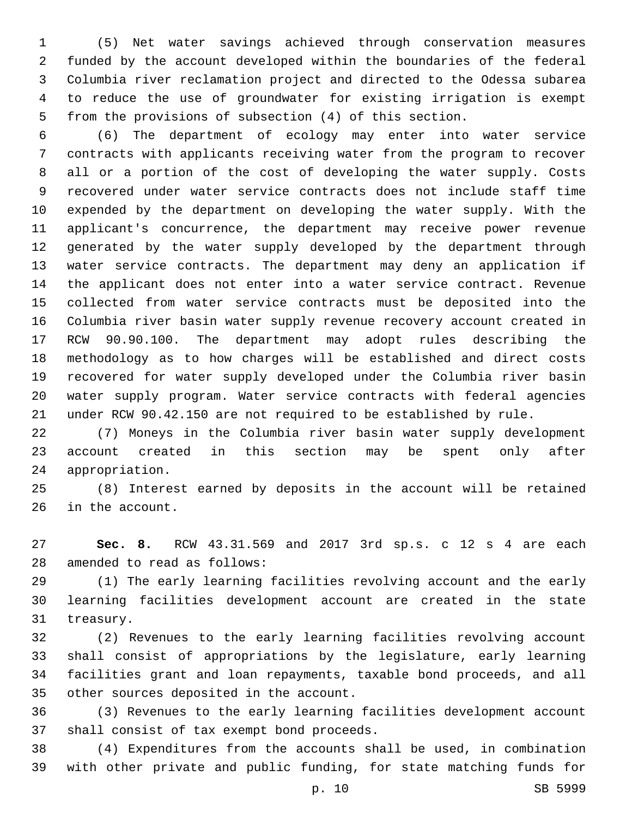(5) Net water savings achieved through conservation measures funded by the account developed within the boundaries of the federal Columbia river reclamation project and directed to the Odessa subarea to reduce the use of groundwater for existing irrigation is exempt from the provisions of subsection (4) of this section.

 (6) The department of ecology may enter into water service contracts with applicants receiving water from the program to recover all or a portion of the cost of developing the water supply. Costs recovered under water service contracts does not include staff time expended by the department on developing the water supply. With the applicant's concurrence, the department may receive power revenue generated by the water supply developed by the department through water service contracts. The department may deny an application if the applicant does not enter into a water service contract. Revenue collected from water service contracts must be deposited into the Columbia river basin water supply revenue recovery account created in RCW 90.90.100. The department may adopt rules describing the methodology as to how charges will be established and direct costs recovered for water supply developed under the Columbia river basin water supply program. Water service contracts with federal agencies under RCW 90.42.150 are not required to be established by rule.

 (7) Moneys in the Columbia river basin water supply development account created in this section may be spent only after 24 appropriation.

 (8) Interest earned by deposits in the account will be retained 26 in the account.

 **Sec. 8.** RCW 43.31.569 and 2017 3rd sp.s. c 12 s 4 are each 28 amended to read as follows:

 (1) The early learning facilities revolving account and the early learning facilities development account are created in the state 31 treasury.

 (2) Revenues to the early learning facilities revolving account shall consist of appropriations by the legislature, early learning facilities grant and loan repayments, taxable bond proceeds, and all 35 other sources deposited in the account.

 (3) Revenues to the early learning facilities development account 37 shall consist of tax exempt bond proceeds.

 (4) Expenditures from the accounts shall be used, in combination with other private and public funding, for state matching funds for

p. 10 SB 5999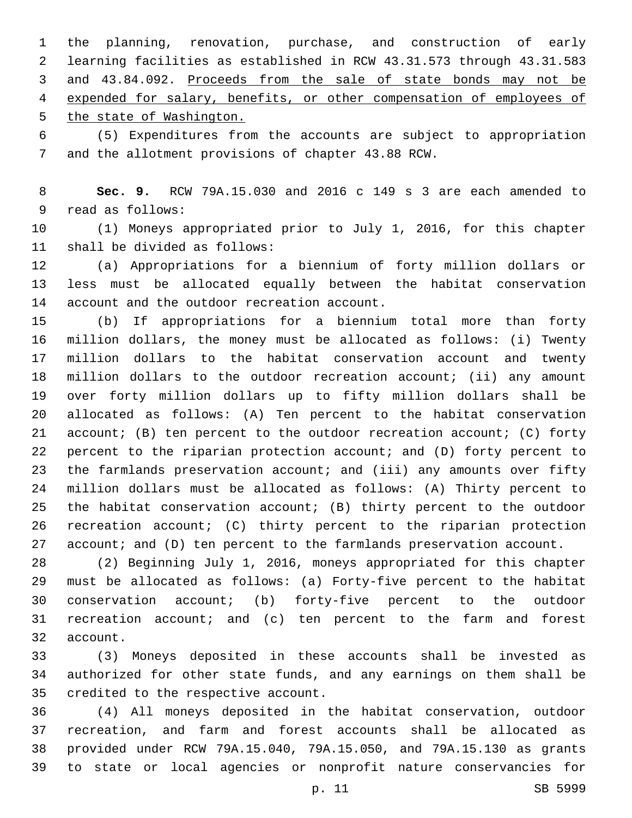the planning, renovation, purchase, and construction of early learning facilities as established in RCW 43.31.573 through 43.31.583 and 43.84.092. Proceeds from the sale of state bonds may not be expended for salary, benefits, or other compensation of employees of the state of Washington.

 (5) Expenditures from the accounts are subject to appropriation 7 and the allotment provisions of chapter 43.88 RCW.

 **Sec. 9.** RCW 79A.15.030 and 2016 c 149 s 3 are each amended to 9 read as follows:

 (1) Moneys appropriated prior to July 1, 2016, for this chapter 11 shall be divided as follows:

 (a) Appropriations for a biennium of forty million dollars or less must be allocated equally between the habitat conservation 14 account and the outdoor recreation account.

 (b) If appropriations for a biennium total more than forty million dollars, the money must be allocated as follows: (i) Twenty million dollars to the habitat conservation account and twenty million dollars to the outdoor recreation account; (ii) any amount over forty million dollars up to fifty million dollars shall be allocated as follows: (A) Ten percent to the habitat conservation account; (B) ten percent to the outdoor recreation account; (C) forty percent to the riparian protection account; and (D) forty percent to 23 the farmlands preservation account; and (iii) any amounts over fifty million dollars must be allocated as follows: (A) Thirty percent to the habitat conservation account; (B) thirty percent to the outdoor recreation account; (C) thirty percent to the riparian protection 27 account; and (D) ten percent to the farmlands preservation account.

 (2) Beginning July 1, 2016, moneys appropriated for this chapter must be allocated as follows: (a) Forty-five percent to the habitat conservation account; (b) forty-five percent to the outdoor recreation account; and (c) ten percent to the farm and forest 32 account.

 (3) Moneys deposited in these accounts shall be invested as authorized for other state funds, and any earnings on them shall be 35 credited to the respective account.

 (4) All moneys deposited in the habitat conservation, outdoor recreation, and farm and forest accounts shall be allocated as provided under RCW 79A.15.040, 79A.15.050, and 79A.15.130 as grants to state or local agencies or nonprofit nature conservancies for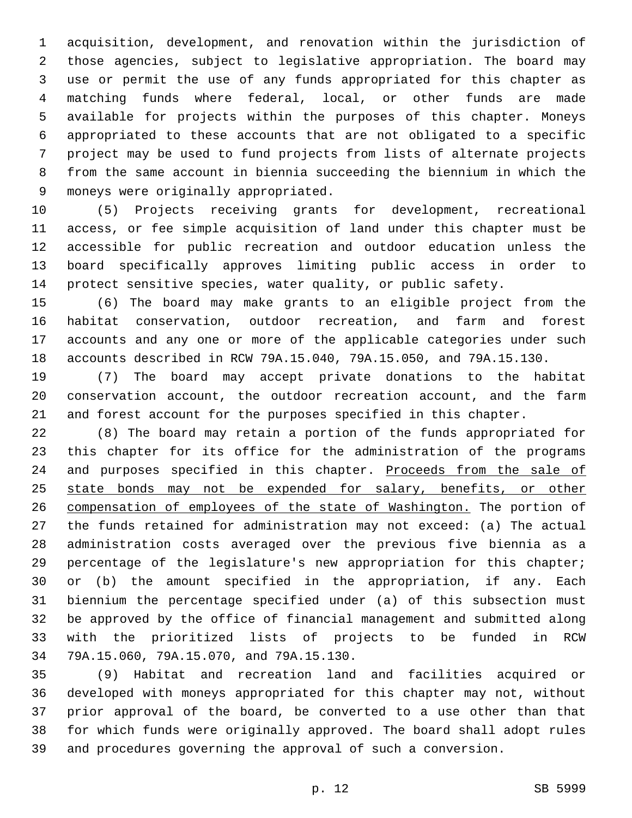acquisition, development, and renovation within the jurisdiction of those agencies, subject to legislative appropriation. The board may use or permit the use of any funds appropriated for this chapter as matching funds where federal, local, or other funds are made available for projects within the purposes of this chapter. Moneys appropriated to these accounts that are not obligated to a specific project may be used to fund projects from lists of alternate projects from the same account in biennia succeeding the biennium in which the 9 moneys were originally appropriated.

 (5) Projects receiving grants for development, recreational access, or fee simple acquisition of land under this chapter must be accessible for public recreation and outdoor education unless the board specifically approves limiting public access in order to protect sensitive species, water quality, or public safety.

 (6) The board may make grants to an eligible project from the habitat conservation, outdoor recreation, and farm and forest accounts and any one or more of the applicable categories under such accounts described in RCW 79A.15.040, 79A.15.050, and 79A.15.130.

 (7) The board may accept private donations to the habitat conservation account, the outdoor recreation account, and the farm and forest account for the purposes specified in this chapter.

 (8) The board may retain a portion of the funds appropriated for this chapter for its office for the administration of the programs 24 and purposes specified in this chapter. Proceeds from the sale of 25 state bonds may not be expended for salary, benefits, or other compensation of employees of the state of Washington. The portion of the funds retained for administration may not exceed: (a) The actual administration costs averaged over the previous five biennia as a percentage of the legislature's new appropriation for this chapter; or (b) the amount specified in the appropriation, if any. Each biennium the percentage specified under (a) of this subsection must be approved by the office of financial management and submitted along with the prioritized lists of projects to be funded in RCW 79A.15.060, 79A.15.070, and 79A.15.130.34

 (9) Habitat and recreation land and facilities acquired or developed with moneys appropriated for this chapter may not, without prior approval of the board, be converted to a use other than that for which funds were originally approved. The board shall adopt rules and procedures governing the approval of such a conversion.